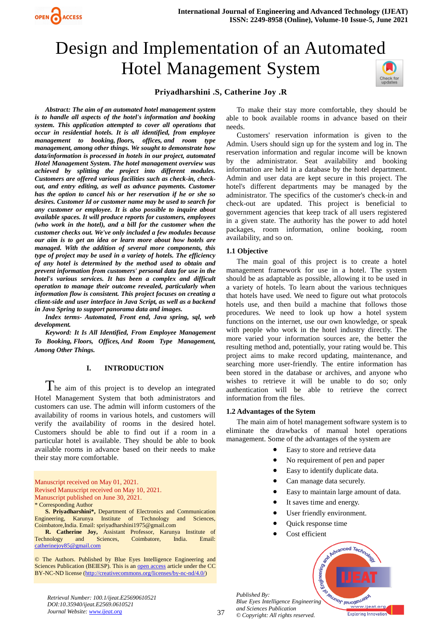# Design and Implementation of an Automated Hotel Management System



# **Priyadharshini .S, Catherine Joy .R**

*Abstract: The aim of an automated hotel management system is to handle all aspects of the hotel's information and booking system. This application attempted to cover all operations that occur in residential hotels. It is all identified, from employee management to booking, floors, offices, and room type management, among other things. We sought to demonstrate how data/information is processed in hotels in our project, automated Hotel Management System. The hotel management overview was achieved by splitting the project into different modules. Customers are offered various facilities such as check-in, checkout, and entry editing, as well as advance payments. Customer has the option to cancel his or her reservation if he or she so desires. Customer Id or customer name may be used to search for any customer or employee. It is also possible to inquire about available spaces. It will produce reports for customers, employees (who work in the hotel), and a bill for the customer when the customer checks out. We've only included a few modules because our aim is to get an idea or learn more about how hotels are managed. With the addition of several more components, this type of project may be used in a variety of hotels. The efficiency of any hotel is determined by the method used to obtain and prevent information from customers' personal data for use in the hotel's various services. It has been a complex and difficult operation to manage their outcome revealed, particularly when information flow is consistent. This project focuses on creating a client-side and user interface in Java Script, as well as a backend in Java Spring to support panorama data and images.*

OPEN CACCESS

*Index terms- Automated, Front end, Java spring, sql, web development.*

*Keyword: It Is All Identified, From Employee Management To Booking, Floors, Offices, And Room Type Management, Among Other Things.*

# **I. INTRODUCTION**

The aim of this project is to develop an integrated Hotel Management System that both administrators and customers can use. The admin will inform customers of the availability of rooms in various hotels, and customers will verify the availability of rooms in the desired hotel. Customers should be able to find out if a room in a particular hotel is available. They should be able to book available rooms in advance based on their needs to make their stay more comfortable.

Manuscript received on May 01, 2021. Revised Manuscript received on May 10, 2021. Manuscript published on June 30, 2021. \* Corresponding Author

**S. Priyadharshini\*,** Department of Electronics and Communication Engineering, Karunya Institute of Technology and Sciences, Coimbatore,India. Email: spriyadharshini1975@gmail.com

**R. Catherine Joy,** Assistant Professor, Karunya Institute of Technology and Sciences, Coimbatore, India. Email: [catherinejoy85@gmail.com](mailto:catherinejoy85@gmail.com)

© The Authors. Published by Blue Eyes Intelligence Engineering and Sciences Publication (BEIESP). This is a[n open access](https://www.openaccess.nl/en/open-publications) article under the CC BY-NC-ND license [\(http://creativecommons.org/licenses/by-nc-nd/4.0/\)](http://creativecommons.org/licenses/by-nc-nd/4.0/)

To make their stay more comfortable, they should be able to book available rooms in advance based on their needs.

Customers' reservation information is given to the Admin. Users should sign up for the system and log in. The reservation information and regular income will be known by the administrator. Seat availability and booking information are held in a database by the hotel department. Admin and user data are kept secure in this project. The hotel's different departments may be managed by the administrator. The specifics of the customer's check-in and check-out are updated. This project is beneficial to government agencies that keep track of all users registered in a given state. The authority has the power to add hotel packages, room information, online booking, room availability, and so on.

#### **1.1 Objective**

The main goal of this project is to create a hotel management framework for use in a hotel. The system should be as adaptable as possible, allowing it to be used in a variety of hotels. To learn about the various techniques that hotels have used. We need to figure out what protocols hotels use, and then build a machine that follows those procedures. We need to look up how a hotel system functions on the internet, use our own knowledge, or speak with people who work in the hotel industry directly. The more varied your information sources are, the better the resulting method and, potentially, your rating would be. This project aims to make record updating, maintenance, and searching more user-friendly. The entire information has been stored in the database or archives, and anyone who wishes to retrieve it will be unable to do so; only authentication will be able to retrieve the correct information from the files.

#### **1.2 Advantages of the Sytem**

The main aim of hotel management software system is to eliminate the drawbacks of manual hotel operations management. Some of the advantages of the system are

- Easy to store and retrieve data
- No requirement of pen and paper
- Easy to identify duplicate data.
- Can manage data securely.
- Easy to maintain large amount of data.
- It saves time and energy.
- User friendly environment.
- Quick response time
- Cost efficient





*Retrieval Number: 100.1/ijeat.E25690610521 DOI:10.35940/ijeat.E2569.0610521 Journal Website: www.ijeat.org*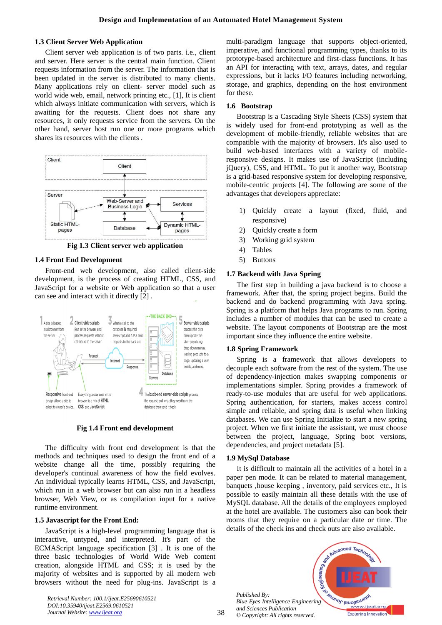#### **1.3 Client Server Web Application**

Client server web application is of two parts. i.e., client and server. Here server is the central main function. Client requests information from the server. The information that is been updated in the server is distributed to many clients. Many applications rely on client- server model such as world wide web, email, network printing etc., [1], It is client which always initiate communication with servers, which is awaiting for the requests. Client does not share any resources, it only requests service from the servers. On the other hand, server host run one or more programs which shares its resources with the clients .



**Fig 1.3 Client server web application**

#### **1.4 Front End Development**

Front-end web development, also called client-side development, is the process of creating HTML, CSS, and JavaScript for a website or Web application so that a user can see and interact with it directly [2] .



**Fig 1.4 Front end development**

The difficulty with front end development is that the methods and techniques used to design the front end of a website change all the time, possibly requiring the developer's continual awareness of how the field evolves. An individual typically learns HTML, CSS, and JavaScript, which run in a web browser but can also run in a headless browser, Web View, or as compilation input for a native runtime environment.

#### **1.5 Javascript for the Front End:**

JavaScript is a high-level programming language that is interactive, untyped, and interpreted. It's part of the ECMAScript language specification [3] . It is one of the three basic technologies of World Wide Web content creation, alongside HTML and CSS; it is used by the majority of websites and is supported by all modern web browsers without the need for plug-ins. JavaScript is a

*Retrieval Number: 100.1/ijeat.E25690610521 DOI:10.35940/ijeat.E2569.0610521 Journal Website: www.ijeat.org*

multi-paradigm language that supports object-oriented, imperative, and functional programming types, thanks to its prototype-based architecture and first-class functions. It has an API for interacting with text, arrays, dates, and regular expressions, but it lacks I/O features including networking, storage, and graphics, depending on the host environment for these.

#### **1.6 Bootstrap**

Bootstrap is a Cascading Style Sheets (CSS) system that is widely used for front-end prototyping as well as the development of mobile-friendly, reliable websites that are compatible with the majority of browsers. It's also used to build web-based interfaces with a variety of mobileresponsive designs. It makes use of JavaScript (including jQuery), CSS, and HTML. To put it another way, Bootstrap is a grid-based responsive system for developing responsive, mobile-centric projects [4]. The following are some of the advantages that developers appreciate:

- 1) Quickly create a layout (fixed, fluid, and responsive)
- 2) Quickly create a form
- 3) Working grid system
- 4) Tables
- 5) Buttons

#### **1.7 Backend with Java Spring**

The first step in building a java backend is to choose a framework. After that, the spring project begins. Build the backend and do backend programming with Java spring. Spring is a platform that helps Java programs to run. Spring includes a number of modules that can be used to create a website. The layout components of Bootstrap are the most important since they influence the entire website.

#### **1.8 Spring Framework**

Spring is a framework that allows developers to decouple each software from the rest of the system. The use of dependency-injection makes swapping components or implementations simpler. Spring provides a framework of ready-to-use modules that are useful for web applications. Spring authentication, for starters, makes access control simple and reliable, and spring data is useful when linking databases. We can use Spring Initialize to start a new spring project. When we first initiate the assistant, we must choose between the project, language, Spring boot versions, dependencies, and project metadata [5].

## **1.9 MySql Database**

It is difficult to maintain all the activities of a hotel in a paper pen mode. It can be related to material management, banquets ,house keeping , inventory, paid services etc., It is possible to easily maintain all these details with the use of MySQL database. All the details of the employees employed at the hotel are available. The customers also can book their rooms that they require on a particular date or time. The details of the check ins and check outs are also available.

*Published By: Blue Eyes Intelligence Engineering and Sciences Publication © Copyright: All rights reserved.*

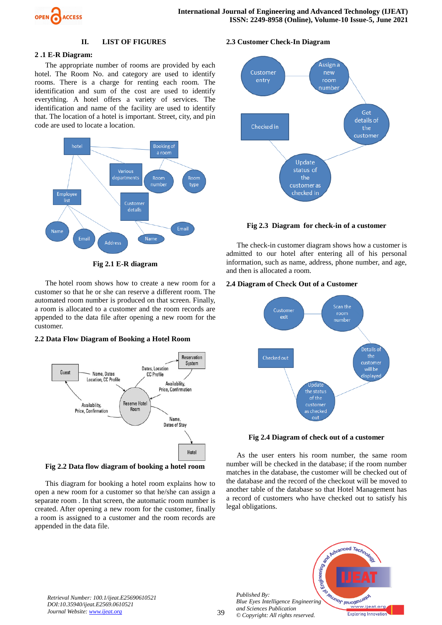

#### **II. LIST OF FIGURES**

# **2 .1 E-R Diagram:**

The appropriate number of rooms are provided by each hotel. The Room No. and category are used to identify rooms. There is a charge for renting each room. The identification and sum of the cost are used to identify everything. A hotel offers a variety of services. The identification and name of the facility are used to identify that. The location of a hotel is important. Street, city, and pin code are used to locate a location.



**Fig 2.1 E-R diagram**

The hotel room shows how to create a new room for a customer so that he or she can reserve a different room. The automated room number is produced on that screen. Finally, a room is allocated to a customer and the room records are appended to the data file after opening a new room for the customer.

# **2.2 Data Flow Diagram of Booking a Hotel Room**



**Fig 2.2 Data flow diagram of booking a hotel room**

This diagram for booking a hotel room explains how to open a new room for a customer so that he/she can assign a separate room . In that screen, the automatic room number is created. After opening a new room for the customer, finally a room is assigned to a customer and the room records are appended in the data file.

#### **2.3 Customer Check-In Diagram**



**Fig 2.3 Diagram for check-in of a customer**

The check-in customer diagram shows how a customer is admitted to our hotel after entering all of his personal information, such as name, address, phone number, and age, and then is allocated a room.

#### **2.4 Diagram of Check Out of a Customer**



**Fig 2.4 Diagram of check out of a customer**

As the user enters his room number, the same room number will be checked in the database; if the room number matches in the database, the customer will be checked out of the database and the record of the checkout will be moved to another table of the database so that Hotel Management has a record of customers who have checked out to satisfy his legal obligations.



*Retrieval Number: 100.1/ijeat.E25690610521 DOI:10.35940/ijeat.E2569.0610521 Journal Website: www.ijeat.org*

*Published By:*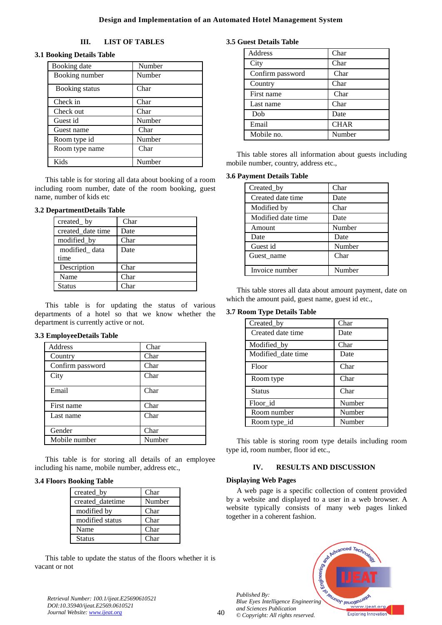# **III. LIST OF TABLES**

# **3.1 Booking Details Table**

| Booking date   | Number |
|----------------|--------|
| Booking number | Number |
| Booking status | Char   |
| Check in       | Char   |
| Check out      | Char   |
| Guest id       | Number |
| Guest name     | Char   |
| Room type id   | Number |
| Room type name | Char   |
| Kids           | Number |

This table is for storing all data about booking of a room including room number, date of the room booking, guest name, number of kids etc

## **3.2 DepartmentDetails Table**

| created_by        | Char |
|-------------------|------|
| created date time | Date |
| modified_by       | Char |
| modified data     | Date |
| time              |      |
| Description       | Char |
| Name              | Char |
| Status            | Char |

This table is for updating the status of various departments of a hotel so that we know whether the department is currently active or not.

## **3.3 EmployeeDetails Table**

| Address          | Char   |
|------------------|--------|
| Country          | Char   |
| Confirm password | Char   |
| City             | Char   |
| Email            | Char   |
| First name       | Char   |
| Last name        | Char   |
| Gender           | Char   |
| Mobile number    | Number |

This table is for storing all details of an employee including his name, mobile number, address etc.,

## **3.4 Floors Booking Table**

| created_by       | Char             |
|------------------|------------------|
| created datetime | Number           |
| modified by      | Char             |
| modified status  | Char             |
| Name             | Char             |
| <b>Status</b>    | C <sub>har</sub> |

This table to update the status of the floors whether it is vacant or not

## **3.5 Guest Details Table**

| Address          | Char        |
|------------------|-------------|
| City             | Char        |
| Confirm password | Char        |
| Country          | Char        |
| First name       | Char        |
| Last name        | Char        |
| Dob              | Date        |
| Email            | <b>CHAR</b> |
| Mobile no.       | Number      |

This table stores all information about guests including mobile number, country, address etc.,

## **3.6 Payment Details Table**

| Created_by         | Char   |
|--------------------|--------|
| Created date time  | Date   |
| Modified by        | Char   |
| Modified date time | Date   |
| Amount             | Number |
| Date               | Date   |
| Guest id           | Number |
| Guest_name         | Char   |
|                    |        |
| Invoice number     | Number |

This table stores all data about amount payment, date on which the amount paid, guest name, guest id etc.,

# **3.7 Room Type Details Table**

| Created_by         | Char   |
|--------------------|--------|
| Created date time  | Date   |
| Modified_by        | Char   |
| Modified_date time | Date   |
| Floor              | Char   |
| Room type          | Char   |
| <b>Status</b>      | Char   |
| Floor_id           | Number |
| Room number        | Number |
| Room type_id       | Number |

This table is storing room type details including room type id, room number, floor id etc.,

# **IV. RESULTS AND DISCUSSION**

## **Displaying Web Pages**

*Published By:*

A web page is a specific collection of content provided by a website and displayed to a user in a web browser. A website typically consists of many web pages linked together in a coherent fashion.



*Retrieval Number: 100.1/ijeat.E25690610521 DOI:10.35940/ijeat.E2569.0610521 Journal Website: www.ijeat.org*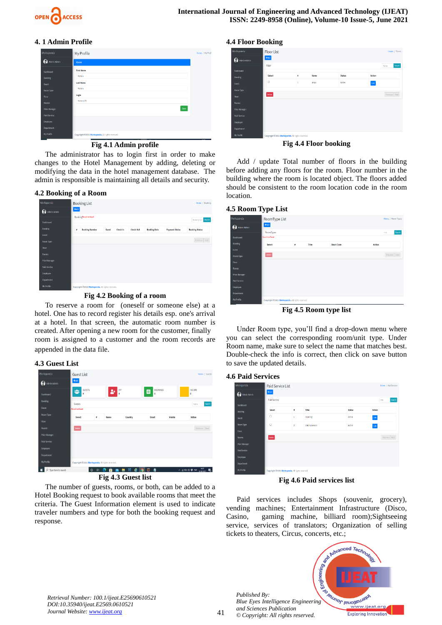

# **4. 1 Admin Profile**

| Workspanda          | My Profile                                       | Home / My Pn |
|---------------------|--------------------------------------------------|--------------|
| Admin Admin         | Room                                             |              |
| Dashboard           | <b>First Name</b>                                |              |
| <b>Booking</b>      | Admin                                            |              |
| Guest               | <b>Last Name</b>                                 |              |
| Room Type           | Admin                                            |              |
| Floor               | Login                                            |              |
| <b>Rooms</b>        | Admin123                                         |              |
| Price Manager       | Save                                             |              |
| <b>Paid Service</b> |                                                  |              |
| Employee            |                                                  |              |
| <b>Department</b>   |                                                  |              |
| My Profile          | Copyright @2021 Workspanda. All rights reserved. |              |

#### **Fig 4.1 Admin profile**

The administrator has to login first in order to make changes to the Hotel Management by adding, deleting or modifying the data in the hotel management database. The admin is responsible is maintaining all details and security.

#### **4.2 Booking of a Room**

| Workspanda<br>A Admin Admin   | +Add | <b>Booking List</b>                                                                                             |       |                 |                  |                     |                       | Home / Bookin         |
|-------------------------------|------|-----------------------------------------------------------------------------------------------------------------|-------|-----------------|------------------|---------------------|-----------------------|-----------------------|
| Dashboard                     |      | <b>BookingReard not found</b>                                                                                   |       |                 |                  |                     |                       | Booking Nun Search    |
| Booking                       | ٠    | <b>Booking Number</b>                                                                                           | Guest | <b>Check In</b> | <b>Check Out</b> | <b>Booking Date</b> | <b>Payment Status</b> | <b>Booking Status</b> |
| Guest<br>Room Type            |      |                                                                                                                 |       |                 |                  |                     |                       | Previous Next         |
| Floor<br><b>Rooms</b>         |      |                                                                                                                 |       |                 |                  |                     |                       |                       |
| Price Manager<br>Paid Service |      |                                                                                                                 |       |                 |                  |                     |                       |                       |
| Employee<br>Department        |      |                                                                                                                 |       |                 |                  |                     |                       |                       |
| <b>The Proof</b> Co.          |      | the contract of the contract of the contract of the contract of the contract of the contract of the contract of |       |                 |                  |                     |                       |                       |

**Fig 4.2 Booking of a room**

To reserve a room for (oneself or someone else) at a hotel. One has to record register his details esp. one's arrival at a hotel. In that screen, the automatic room number is created. After opening a new room for the customer, finally room is assigned to a customer and the room records are appended in the data file.

#### **4.3 Guest List**

| Workspanda<br>Ω<br>Admin Admin | <b>Guest List</b><br>$+4d$                       |   |                |         |                                 |        | Home / Guests      |
|--------------------------------|--------------------------------------------------|---|----------------|---------|---------------------------------|--------|--------------------|
| Dashboard                      | <b>GUESTS</b><br>29<br>٥                         |   | VIP<br>2+<br>Ô |         | <b>BOOKINGS</b><br>⊟<br>$\circ$ |        | <b>INCOME</b><br>٥ |
| Booking                        | Guests                                           |   |                |         |                                 |        | Search<br>Name     |
| Guest                          | <b>Decord not found</b>                          |   |                |         |                                 |        |                    |
| Room Type                      | Select                                           | ٠ | Name           | Country | Email                           | Mobile | <b>Action</b>      |
| Floor                          |                                                  |   |                |         |                                 |        |                    |
| Rooms                          | Delete                                           |   |                |         |                                 |        | Previous Next      |
| <b>Price Manager</b>           |                                                  |   |                |         |                                 |        |                    |
| <b>Paid Service</b>            |                                                  |   |                |         |                                 |        |                    |
| Employee                       |                                                  |   |                |         |                                 |        |                    |
| Department                     |                                                  |   |                |         |                                 |        |                    |
| My Profile                     | Copyright @2021 Workspanda. All rights reserved. |   |                |         |                                 |        |                    |
|                                |                                                  |   |                |         |                                 |        |                    |

**Fig 4.3 Guest list**

The number of guests, rooms, or both, can be added to a Hotel Booking request to book available rooms that meet the criteria. The Guest Information element is used to indicate traveler numbers and type for both the booking request and response.

| Workspanda           | <b>Floor List</b> |   |       |               | Home / Floors  |
|----------------------|-------------------|---|-------|---------------|----------------|
| . P<br>Admin Admin   | $+400$            |   |       |               |                |
|                      | Floor             |   |       |               | Search<br>Name |
| Dashboard<br>Booking | Select            | ٠ | Name  | <b>Status</b> | Action         |
| Guest                | O                 | 1 | priva | Active        | Edit           |
| Room Type            |                   |   |       |               |                |
| Floor                | Delete            |   |       |               | Previous Next  |
| Rooms                |                   |   |       |               |                |
| <b>Price Manager</b> |                   |   |       |               |                |
| Paid Service         |                   |   |       |               |                |
| Employee             |                   |   |       |               |                |
|                      |                   |   |       |               |                |

**Fig 4.4 Floor booking**

Add / update Total number of floors in the building before adding any floors for the room. Floor number in the building where the room is located object. The floors added should be consistent to the room location code in the room location.

#### **4.5 Room Type List**

| Workspanda<br>Admin Admin | RoomType List<br>$+444$                          |    |       |                   |        | Home / Room Types |
|---------------------------|--------------------------------------------------|----|-------|-------------------|--------|-------------------|
|                           | <b>RoomTypes</b>                                 |    |       |                   |        | Search<br>Title   |
| Dashboard                 | <b>Broad out found</b>                           |    |       |                   |        |                   |
| Booking                   | Select                                           | ø. | Title | <b>Short Code</b> | Action |                   |
| Guest                     |                                                  |    |       |                   |        |                   |
| Room Type                 | Delete                                           |    |       |                   |        | Previous Next     |
| Floor                     |                                                  |    |       |                   |        |                   |
| Rooms                     |                                                  |    |       |                   |        |                   |
| <b>Price Manager</b>      |                                                  |    |       |                   |        |                   |
| Paid Service              |                                                  |    |       |                   |        |                   |
| Employee                  |                                                  |    |       |                   |        |                   |
| Department                |                                                  |    |       |                   |        |                   |
| My Profile                | Copyright @2021 Workspanda. All rights reserved. |    |       |                   |        |                   |

**Fig 4.5 Room type list**

Under Room type, you'll find a drop-down menu where you can select the corresponding room/unit type. Under Room name, make sure to select the name that matches best. Double-check the info is correct, then click on save button to save the updated details.

#### **4.6 Paid Services**

| Workspanda<br>G<br>Admin Admin | Paid Service List<br>$+i\phi$                    |   |               |        | Home / Paid Service |  |  |
|--------------------------------|--------------------------------------------------|---|---------------|--------|---------------------|--|--|
|                                | <b>Paid Service</b>                              |   |               |        |                     |  |  |
| Dashboard                      |                                                  |   |               |        |                     |  |  |
| Booking                        | Soloct                                           | ň | Title         | Status | Action              |  |  |
| Guest                          | $\Box$                                           | r | deaning       | Active | Edt                 |  |  |
| Room Type                      | $\Box$                                           | 2 | entertainment | Active | $_{\rm Ed1}$        |  |  |
| Floor                          |                                                  |   |               |        |                     |  |  |
| Rooms                          | Delete                                           |   |               |        | Previous Next       |  |  |
| <b>Price Manager</b>           |                                                  |   |               |        |                     |  |  |
| Paid Service                   |                                                  |   |               |        |                     |  |  |
| Employee                       |                                                  |   |               |        |                     |  |  |
| Department                     |                                                  |   |               |        |                     |  |  |
| My Profile                     | Copyright ©2021 Workspanda. All rights reserved. |   |               |        |                     |  |  |

**Fig 4.6 Paid services list**

Paid services includes Shops (souvenir, grocery), vending machines; Entertainment Infrastructure (Disco, Casino, gaming machine, billiard room);Sightseeing service, services of translators; Organization of selling tickets to theaters, Circus, concerts, etc.;

*Published By: Blue Eyes Intelligence Engineering and Sciences Publication © Copyright: All rights reserved.*



*Retrieval Number: 100.1/ijeat.E25690610521 DOI:10.35940/ijeat.E2569.0610521 Journal Website: www.ijeat.org*